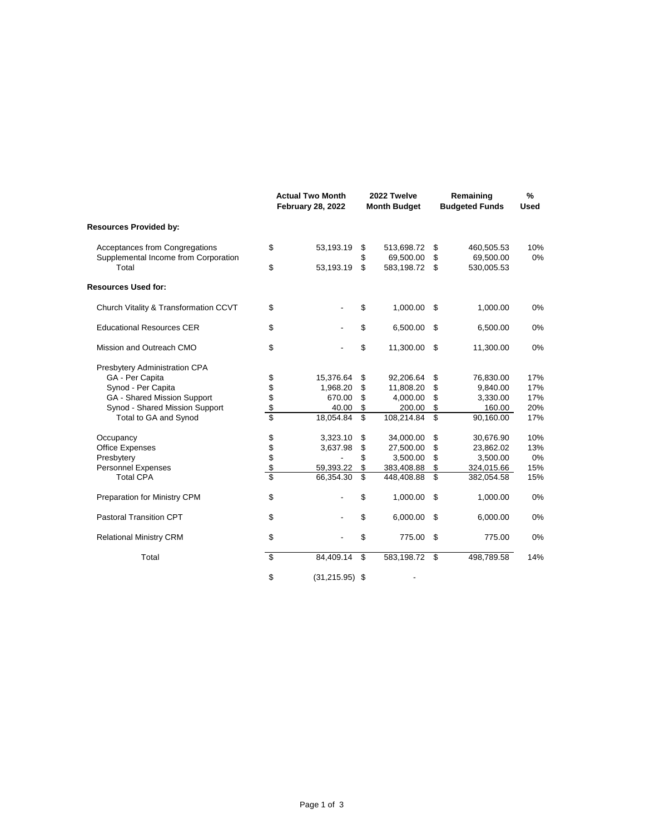|                                               |            | <b>Actual Two Month</b><br><b>February 28, 2022</b> |          | 2022 Twelve<br><b>Month Budget</b> |                         | Remaining<br><b>Budgeted Funds</b> | $\frac{9}{6}$<br><b>Used</b> |
|-----------------------------------------------|------------|-----------------------------------------------------|----------|------------------------------------|-------------------------|------------------------------------|------------------------------|
| <b>Resources Provided by:</b>                 |            |                                                     |          |                                    |                         |                                    |                              |
| Acceptances from Congregations                | \$         | 53,193.19                                           | \$       | 513,698.72                         | \$                      | 460,505.53                         | 10%                          |
| Supplemental Income from Corporation<br>Total | \$         | 53,193.19                                           | \$<br>\$ | 69,500.00<br>583,198.72            | \$<br>\$                | 69,500.00<br>530,005.53            | $0\%$                        |
| <b>Resources Used for:</b>                    |            |                                                     |          |                                    |                         |                                    |                              |
| Church Vitality & Transformation CCVT         | \$         |                                                     | \$       | 1,000.00                           | \$                      | 1,000.00                           | 0%                           |
| <b>Educational Resources CER</b>              | \$         |                                                     | \$       | 6,500.00                           | \$                      | 6,500.00                           | 0%                           |
| Mission and Outreach CMO                      | \$         |                                                     | \$       | 11,300.00                          | \$                      | 11,300.00                          | 0%                           |
| Presbytery Administration CPA                 |            |                                                     |          |                                    |                         |                                    |                              |
| GA - Per Capita                               |            | 15,376.64                                           | \$       | 92,206.64                          | \$                      | 76,830.00                          | 17%                          |
| Synod - Per Capita                            | \$\$\$\$\$ | 1,968.20                                            | \$       | 11,808.20                          | \$                      | 9,840.00                           | 17%                          |
| GA - Shared Mission Support                   |            | 670.00                                              | \$       | 4,000.00                           | \$                      | 3,330.00                           | 17%                          |
| Synod - Shared Mission Support                |            | 40.00                                               | \$       | 200.00                             | \$                      | 160.00                             | 20%                          |
| Total to GA and Synod                         |            | 18,054.84                                           | \$       | 108,214.84                         | \$                      | 90,160.00                          | 17%                          |
| Occupancy                                     |            | 3,323.10                                            | \$       | 34,000.00                          | \$                      | 30,676.90                          | 10%                          |
| <b>Office Expenses</b>                        |            | 3,637.98                                            | \$       | 27,500.00                          | \$                      | 23,862.02                          | 13%                          |
| Presbytery                                    |            |                                                     | \$       | 3,500.00                           | \$                      | 3,500.00                           | 0%                           |
| <b>Personnel Expenses</b>                     | \$\$\$\$\$ | 59,393.22                                           | \$       | 383,408.88                         | \$                      | 324,015.66                         | 15%                          |
| <b>Total CPA</b>                              |            | 66,354.30                                           | \$       | 448,408.88                         | $\overline{\mathbf{s}}$ | 382,054.58                         | 15%                          |
| Preparation for Ministry CPM                  | \$         |                                                     | \$       | 1,000.00                           | \$                      | 1,000.00                           | 0%                           |
| <b>Pastoral Transition CPT</b>                | \$         |                                                     | \$       | 6,000.00                           | \$                      | 6,000.00                           | 0%                           |
| <b>Relational Ministry CRM</b>                | \$         |                                                     | \$       | 775.00                             | \$                      | 775.00                             | 0%                           |
| Total                                         | \$         | 84,409.14                                           | \$       | 583,198.72                         | \$                      | 498,789.58                         | 14%                          |
|                                               | \$         | $(31, 215.95)$ \$                                   |          |                                    |                         |                                    |                              |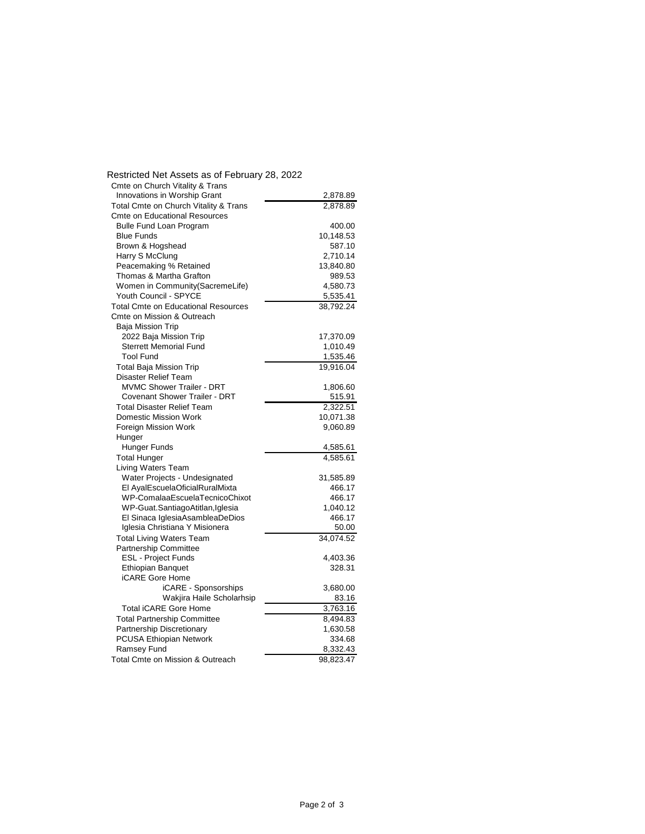| Restricted Net Assets as of February 28, 2022 |           |
|-----------------------------------------------|-----------|
| Cmte on Church Vitality & Trans               |           |
| Innovations in Worship Grant                  | 2,878.89  |
| Total Cmte on Church Vitality & Trans         | 2,878.89  |
| <b>Cmte on Educational Resources</b>          |           |
| <b>Bulle Fund Loan Program</b>                | 400.00    |
| <b>Blue Funds</b>                             | 10,148.53 |
| Brown & Hogshead                              | 587.10    |
| Harry S McClung                               | 2,710.14  |
| Peacemaking % Retained                        | 13,840.80 |
| Thomas & Martha Grafton                       | 989.53    |
| Women in Community(SacremeLife)               | 4,580.73  |
| Youth Council - SPYCE                         | 5,535.41  |
| <b>Total Cmte on Educational Resources</b>    | 38,792.24 |
| Cmte on Mission & Outreach                    |           |
| Baja Mission Trip                             |           |
| 2022 Baja Mission Trip                        | 17,370.09 |
| <b>Sterrett Memorial Fund</b>                 | 1,010.49  |
| <b>Tool Fund</b>                              | 1,535.46  |
| <b>Total Baja Mission Trip</b>                | 19,916.04 |
| <b>Disaster Relief Team</b>                   |           |
| <b>MVMC Shower Trailer - DRT</b>              | 1,806.60  |
| <b>Covenant Shower Trailer - DRT</b>          | 515.91    |
| <b>Total Disaster Relief Team</b>             | 2,322.51  |
| <b>Domestic Mission Work</b>                  | 10,071.38 |
| Foreign Mission Work                          | 9,060.89  |
| Hunger                                        |           |
| Hunger Funds                                  | 4,585.61  |
| <b>Total Hunger</b>                           | 4,585.61  |
| Living Waters Team                            |           |
| Water Projects - Undesignated                 | 31,585.89 |
| El AyalEscuelaOficialRuralMixta               | 466.17    |
| WP-ComalaaEscuelaTecnicoChixot                | 466.17    |
| WP-Guat.SantiagoAtitlan,Iglesia               | 1,040.12  |
| El Sinaca IglesiaAsambleaDeDios               | 466.17    |
| Iglesia Christiana Y Misionera                | 50.00     |
| <b>Total Living Waters Team</b>               | 34,074.52 |
| <b>Partnership Committee</b>                  |           |
| <b>ESL - Project Funds</b>                    | 4,403.36  |
| <b>Ethiopian Banquet</b>                      | 328.31    |
| iCARE Gore Home                               |           |
| iCARE - Sponsorships                          | 3,680.00  |
| Wakjira Haile Scholarhsip                     | 83.16     |
| <b>Total iCARE Gore Home</b>                  | 3,763.16  |
| <b>Total Partnership Committee</b>            | 8,494.83  |
| Partnership Discretionary                     | 1,630.58  |
| <b>PCUSA Ethiopian Network</b>                | 334.68    |
| Ramsey Fund                                   | 8,332.43  |
| Total Cmte on Mission & Outreach              | 98,823.47 |